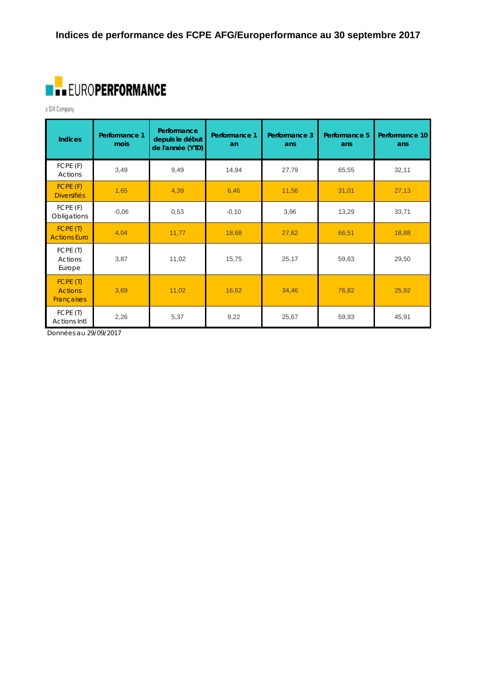

a SIX Company

| <b>Indices</b>                                  | Performance 1<br>mois | Performance<br>depuis le début<br>de l'année (YTD) | Performance 1<br>an | Performance 3<br>ans | Performance 5<br>ans | Performance 10<br>ans |
|-------------------------------------------------|-----------------------|----------------------------------------------------|---------------------|----------------------|----------------------|-----------------------|
| FCPE(F)<br>Actions                              | 3,49                  | 9,49                                               | 14,94               | 27,79                | 65,55                | 32,11                 |
| FCPE(F)<br><b>Diversifiés</b>                   | 1,65                  | 4,39                                               | 6,46                | 11,56                | 31,01                | 27,13                 |
| FCPE(F)<br>Obligations                          | $-0.06$               | 0,53                                               | $-0,10$             | 3,96                 | 13,29                | 33,71                 |
| FCPE (T)<br><b>Actions Euro</b>                 | 4,04                  | 11,77                                              | 18,68               | 27,62                | 66,51                | 18,88                 |
| FCPE (T)<br><b>Actions</b><br>Europe            | 3,87                  | 11,02                                              | 15,75               | 25,17                | 59,63                | 29,50                 |
| FCPE (T)<br><b>Actions</b><br><b>Françaises</b> | 3,69                  | 11,02                                              | 16,62               | 34,46                | 76,82                | 25,92                 |
| FCPE (T)<br>Actions Intl                        | 2,26                  | 5,37                                               | 9,22                | 25,67                | 59,93                | 45,91                 |

*Données au 29/09/2017*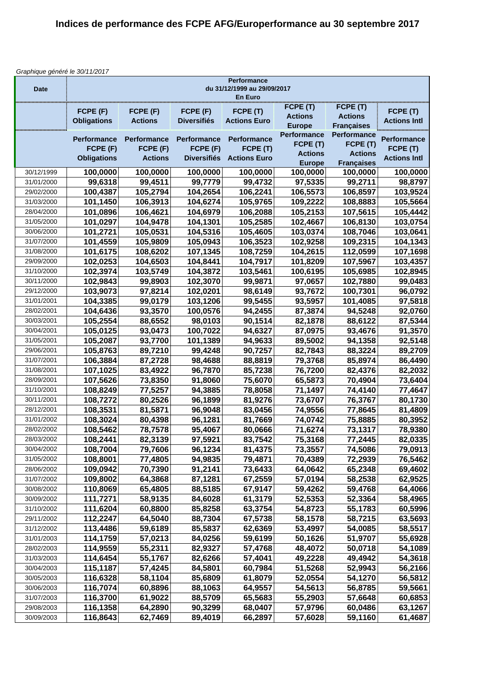*Graphique généré le 30/11/2017*

| <b>Date</b> | Performance<br>du 31/12/1999 au 29/09/2017<br>En Euro |                    |                    |                     |                    |                   |                     |  |  |
|-------------|-------------------------------------------------------|--------------------|--------------------|---------------------|--------------------|-------------------|---------------------|--|--|
|             | FCPE (F)                                              | FCPE (F)           | FCPE (F)           | FCPE (T)            | FCPE (T)           | FCPE (T)          | FCPE (T)            |  |  |
|             | <b>Obligations</b>                                    | <b>Actions</b>     | <b>Diversifiés</b> | <b>Actions Euro</b> | <b>Actions</b>     | <b>Actions</b>    | <b>Actions Intl</b> |  |  |
|             |                                                       |                    |                    |                     | <b>Europe</b>      | <b>Françaises</b> |                     |  |  |
|             | Performance                                           | <b>Performance</b> | <b>Performance</b> | Performance         | <b>Performance</b> | Performance       | <b>Performance</b>  |  |  |
|             | FCPE (F)                                              | FCPE (F)           | FCPE (F)           | FCPE (T)            | FCPE (T)           | FCPE (T)          | FCPE (T)            |  |  |
|             | <b>Obligations</b>                                    | <b>Actions</b>     | <b>Diversifiés</b> | <b>Actions Euro</b> | <b>Actions</b>     | <b>Actions</b>    | <b>Actions Intl</b> |  |  |
|             |                                                       |                    |                    |                     | <b>Europe</b>      | <b>Françaises</b> |                     |  |  |
| 30/12/1999  | 100,0000                                              | 100,0000           | 100,0000           | 100,0000            | 100,0000           | 100,0000          | 100,0000            |  |  |
| 31/01/2000  | 99,6318                                               | 99,4511            | 99,7779            | 99,4732             | 97,5335            | 99,2711           | 98,8797             |  |  |
| 29/02/2000  | 100,4387                                              | 105,2794           | 104,2654           | 106,2241            | 106,5573           | 106,8597          | 103,9524            |  |  |
| 31/03/2000  | 101,1450                                              | 106,3913           | 104,6274           | 105,9765            | 109,2222           | 108,8883          | 105,5664            |  |  |
| 28/04/2000  | 101,0896                                              | 106,4621           | 104,6979           | 106,2088            | 105,2153           | 107,5615          | 105,4442            |  |  |
| 31/05/2000  | 101,0297                                              | 104,9478           | 104,1301           | 105,2585            | 102,4667           | 106,8130          | 103,0754            |  |  |
| 30/06/2000  | 101,2721                                              | 105,0531           | 104,5316           | 105,4605            | 103,0374           | 108,7046          | 103,0641            |  |  |
| 31/07/2000  | 101,4559                                              | 105,9809           | 105,0943           | 106,3523            | 102,9258           | 109,2315          | 104,1343            |  |  |
| 31/08/2000  | 101,6175                                              | 108,6202           | 107,1345           | 108,7259            | 104,2615           | 112,0599          | 107,1698            |  |  |
| 29/09/2000  | 102,0253                                              | 104,6503           | 104,8441           | 104,7917            | 101,8209           | 107,5967          | 103,4357            |  |  |
| 31/10/2000  | 102,3974                                              | 103,5749           | 104,3872           | 103,5461            | 100,6195           | 105,6985          | 102,8945            |  |  |
| 30/11/2000  | 102,9843                                              | 99,8903            | 102,3070           | 99,9871             | 97,0657            | 102,7880          | 99,0483             |  |  |
| 29/12/2000  | 103,9073                                              | 97,8214            | 102,0201           | 98,6149             | 93,7672            | 100,7301          | 96,0792             |  |  |
| 31/01/2001  | 104,3385                                              | 99,0179            | 103,1206           | 99,5455             | 93,5957            | 101,4085          | 97,5818             |  |  |
| 28/02/2001  | 104,6436                                              | 93,3570            | 100,0576           | 94,2455             | 87,3874            | 94,5248           | 92,0760             |  |  |
| 30/03/2001  | 105,2554                                              | 88,6552            | 98,0103            | 90,1514             | 82,1878            | 88,6122           | 87,5344             |  |  |
| 30/04/2001  | 105,0125                                              | 93,0473            | 100,7022           | 94,6327             | 87,0975            | 93,4676           | 91,3570             |  |  |
| 31/05/2001  | 105,2087                                              | 93,7700            | 101,1389           | 94,9633             | 89,5002            | 94,1358           | 92,5148             |  |  |
| 29/06/2001  | 105,8763                                              | 89,7210            | 99,4248            | 90,7257             | 82,7843            | 88,3224           | 89,2709             |  |  |
| 31/07/2001  | 106,3884                                              | 87,2728            | 98,4688            | 88,8819             | 79,3768            | 85,8974           | 86,4490             |  |  |
| 31/08/2001  | 107,1025                                              | 83,4922            | 96,7870            | 85,7238             | 76,7200            | 82,4376           | 82,2032             |  |  |
| 28/09/2001  | 107,5626                                              | 73,8350            | 91,8060            | 75,6070             | 65,5873            | 70,4904           | 73,6404             |  |  |
| 31/10/2001  | 108,8249                                              | 77,5257            | 94,3885            | 78,8058             | 71,1497            | 74,4140           | 77,4647             |  |  |
| 30/11/2001  | 108,7272                                              | 80,2526            | 96,1899            | 81,9276             | 73,6707            | 76,3767           | 80,1730             |  |  |
| 28/12/2001  | 108,3531                                              | 81,5871            | 96,9048            | 83,0456             | 74,9556            | 77,8645           | 81,4809             |  |  |
| 31/01/2002  | 108,3024                                              | 80,4398            | 96,1281            | 81,7669             | 74,0742            | 75,8885           | 80,3952             |  |  |
| 28/02/2002  | 108,5462                                              | 78,7578            | 95,4067            | 80,0666             | 71,6274            | 73,1317           | 78,9380             |  |  |
| 28/03/2002  | 108,2441                                              | 82,3139            | 97,5921            | 83,7542             | 75,3168            | 77,2445           | 82,0335             |  |  |
| 30/04/2002  | 108,7004                                              | 79,7606            | 96,1234            | 81,4375             | 73,3557            | 74,5086           | 79,0913             |  |  |
| 31/05/2002  | 108,8001                                              | 77,4805            | 94,9835            | 79,4871             | 70,4389            | 72,2939           | 76,5462             |  |  |
| 28/06/2002  | 109,0942                                              | 70,7390            | 91,2141            | 73,6433             | 64,0642            | 65,2348           | 69,4602             |  |  |
| 31/07/2002  | 109,8002                                              | 64,3868            | 87,1281            | 67,2559             | 57,0194            | 58,2538           | 62,9525             |  |  |
| 30/08/2002  | 110,8069                                              | 65,4805            | 88,5185            | 67,9147             | 59,4262            | 59,4768           | 64,4066             |  |  |
| 30/09/2002  | 111,7271                                              | 58,9135            | 84,6028            | 61,3179             | 52,5353            | 52,3364           | 58,4965             |  |  |
| 31/10/2002  | 111,6204                                              | 60,8800            | 85,8258            | 63,3754             | 54,8723            | 55,1783           | 60,5996             |  |  |
| 29/11/2002  | 112,2247                                              | 64,5040            | 88,7304            | 67,5738             | 58,1578            | 58,7215           | 63,5693             |  |  |
| 31/12/2002  | 113,4486                                              | 59,6189            | 85,5837            | 62,6369             | 53,4997            | 54,0085           | 58,5517             |  |  |
| 31/01/2003  | 114,1759                                              | 57,0213            | 84,0256            | 59,6199             | 50,1626            | 51,9707           | 55,6928             |  |  |
| 28/02/2003  | 114,9559                                              | 55,2311            | 82,9327            | 57,4768             | 48,4072            | 50,0718           | 54,1089             |  |  |
| 31/03/2003  | 114,6454                                              | 55,1767            | 82,6266            | 57,4041             | 49,2228            | 49,4942           | 54,3618             |  |  |
| 30/04/2003  | 115,1187                                              | 57,4245            | 84,5801            | 60,7984             | 51,5268            | 52,9943           | 56,2166             |  |  |
| 30/05/2003  | 116,6328                                              | 58,1104            | 85,6809            | 61,8079             | 52,0554            | 54,1270           | 56,5812             |  |  |
| 30/06/2003  | 116,7074                                              | 60,8896            | 88,1063            | 64,9557             | 54,5613            | 56,8785           | 59,5661             |  |  |
| 31/07/2003  | 116,3700                                              | 61,9022            | 88,5709            | 65,5683             | 55,2903            | 57,6648           | 60,6853             |  |  |
| 29/08/2003  | 116,1358                                              | 64,2890            | 90,3299            | 68,0407             | 57,9796            | 60,0486           | 63,1267             |  |  |
| 30/09/2003  | 116,8643                                              | 62,7469            | 89,4019            | 66,2897             | 57,6028            | 59,1160           | 61,4687             |  |  |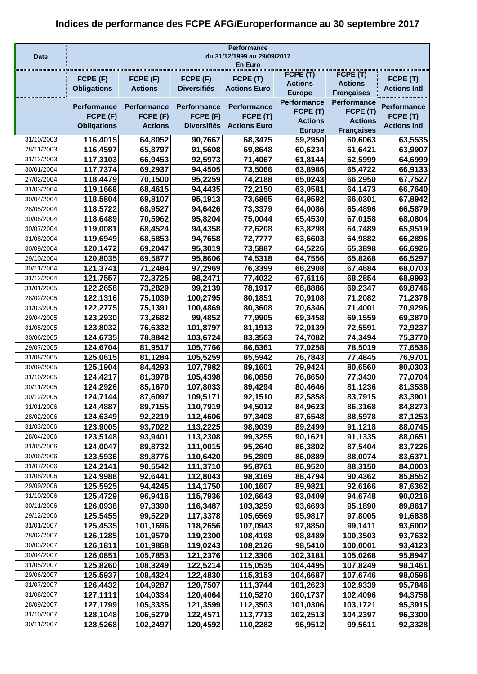|                          | Performance                 |                      |                      |                      |                                |                         |                     |  |
|--------------------------|-----------------------------|----------------------|----------------------|----------------------|--------------------------------|-------------------------|---------------------|--|
| <b>Date</b>              | du 31/12/1999 au 29/09/2017 |                      |                      |                      |                                |                         |                     |  |
|                          |                             |                      |                      | En Euro              |                                |                         |                     |  |
|                          | FCPE (F)                    | FCPE (F)             | FCPE (F)             | FCPE (T)             | FCPE (T)                       | FCPE (T)                | FCPE (T)            |  |
|                          | <b>Obligations</b>          | <b>Actions</b>       | <b>Diversifiés</b>   | <b>Actions Euro</b>  | <b>Actions</b>                 | <b>Actions</b>          | <b>Actions Intl</b> |  |
|                          |                             |                      |                      |                      | <b>Europe</b>                  | <b>Françaises</b>       |                     |  |
|                          | <b>Performance</b>          | <b>Performance</b>   | <b>Performance</b>   | <b>Performance</b>   | <b>Performance</b><br>FCPE (T) | Performance<br>FCPE (T) | <b>Performance</b>  |  |
|                          | FCPE (F)                    | FCPE (F)             | FCPE (F)             | FCPE (T)             | <b>Actions</b>                 | <b>Actions</b>          | FCPE (T)            |  |
|                          | <b>Obligations</b>          | <b>Actions</b>       | <b>Diversifiés</b>   | <b>Actions Euro</b>  | <b>Europe</b>                  | <b>Françaises</b>       | <b>Actions Intl</b> |  |
| 31/10/2003               | 116,4015                    | 64,8052              | 90,7667              | 68,3475              | 59,2950                        | 60,6063                 | 63,5535             |  |
| 28/11/2003               | 116,4597                    | 65,8797              | 91,5608              | 69,8648              | 60,6234                        | 61,6421                 | 63,9907             |  |
| 31/12/2003               | 117,3103                    | 66,9453              | 92,5973              | 71,4067              | 61,8144                        | 62,5999                 | 64,6999             |  |
| 30/01/2004               | 117,7374                    | 69,2937              | 94,4505              | 73,5066              | 63,8986                        | 65,4722                 | 66,9133             |  |
| 27/02/2004               | 118,4479                    | 70,1500              | 95,2259              | 74,2188              | 65,0243                        | 66,2950                 | 67,7527             |  |
| 31/03/2004               | 119,1668                    | 68,4615              | 94,4435              | 72,2150              | 63,0581                        | 64,1473                 | 66,7640             |  |
| 30/04/2004               | 118,5804                    | 69,8107              | 95,1913              | 73,6865              | 64,9592                        | 66,0301                 | 67,8942             |  |
| 28/05/2004               | 118,5722                    | 68,9527              | 94,6426              | 73,3379              | 64,0086                        | 65,4896                 | 66,5879             |  |
| 30/06/2004               | 118,6489                    | 70,5962              | 95,8204              | 75,0044              | 65,4530                        | 67,0158                 | 68,0804             |  |
| 30/07/2004               | 119,0081                    | 68,4524              | 94,4358              | 72,6208              | 63,8298                        | 64,7489                 | 65,9519             |  |
| 31/08/2004               | 119,6949                    | 68,5853              | 94,7658              | 72,7777              | 63,6603                        | 64,9882                 | 66,2896             |  |
| 30/09/2004               | 120,1472                    | 69,2047              | 95,3019              | 73,5887              | 64,5226                        | 65,3898                 | 66,6926             |  |
| 29/10/2004               | 120,8035                    | 69,5877              | 95,8606              | 74,5318              | 64,7556                        | 65,8268                 | 66,5297             |  |
| 30/11/2004               | 121,3741                    | 71,2484              | 97,2969              | 76,3399              | 66,2908                        | 67,4684                 | 68,0703             |  |
| 31/12/2004               | 121,7557                    | 72,3725              | 98,2471              | 77,4022              | 67,6116                        | 68,2854                 | 68,9993             |  |
| 31/01/2005               | 122,2658                    | 73,2829              | 99,2139              | 78,1917              | 68,8886                        | 69,2347                 | 69,8746             |  |
| 28/02/2005               | 122,1316                    | 75,1039              | 100,2795             | 80,1851              | 70,9108                        | 71,2082                 | 71,2378             |  |
| 31/03/2005               | 122,2775                    | 75,1391              | 100,4869             | 80,3608              | 70,6346                        | 71,4001                 | 70,9296             |  |
| 29/04/2005               | 123,2930                    | 73,2682              | 99,4852              | 77,9905              | 69,3458                        | 69,1559                 | 69,3870             |  |
| 31/05/2005               | 123,8032                    | 76,6332              | 101,8797             | 81,1913              | 72,0139                        | 72,5591                 | 72,9237             |  |
| 30/06/2005               | 124,6735                    | 78,8842              | 103,6724             | 83,3563              | 74,7082                        | 74,3494                 | 75,3770             |  |
| 29/07/2005               | 124,6704                    | 81,9517              | 105,7766             | 86,6361              | 77,0258                        | 78,5019                 | 77,6536             |  |
| 31/08/2005               | 125,0615                    | 81,1284              | 105,5259             | 85,5942              | 76,7843                        | 77,4845                 | 76,9701             |  |
| 30/09/2005               | 125,1904                    | 84,4293              | 107,7982             | 89,1601              | 79,9424                        | 80,6560                 | 80,0303             |  |
| 31/10/2005               | 124,4217                    | 81,3978              | 105,4398             | 86,0858              | 76,8650                        | 77,3430                 | 77,0704             |  |
| 30/11/2005               | 124,2926                    | 85,1670              | 107,8033             | 89,4294              | 80,4646                        | 81,1236                 | 81,3538             |  |
| 30/12/2005               | 124,7144                    | 87,6097              | 109,5171             | 92,1510              | 82,5858                        | 83,7915                 | 83,3901             |  |
| 31/01/2006               | 124,4887                    | 89,7155              | 110,7919             | 94,5012              | 84,9623                        | 86,3168                 | 84,8273             |  |
| 28/02/2006               | 124,6349                    | 92,2219              | 112,4606             | 97,3408              | 87,6548                        | 88,5978                 | 87,1253             |  |
| 31/03/2006               | 123,9005                    | 93,7022              | 113,2225             | 98,9039              | 89,2499                        | 91,1218                 | 88,0745             |  |
| 28/04/2006               | 123,5148                    | 93,9401              | 113,2308             | 99,3255              | 90,1621                        | 91,1335                 | 88,0651             |  |
| 31/05/2006               | 124,0047                    | 89,8732              | 111,0015             | 95,2640              | 86,3802                        | 87,5404                 | 83,7226             |  |
| 30/06/2006               | 123,5936                    | 89,8776              | 110,6420             | 95,2809              | 86,0889                        | 88,0074                 | 83,6371             |  |
| 31/07/2006               | 124,2141                    | 90,5542              | 111,3710             | 95,8761              | 86,9520                        | 88,3150                 | 84,0003             |  |
| 31/08/2006               | 124,9988                    | 92,6441              | 112,8043             | 98,3169              | 88,4794                        | 90,4362                 | 85,8552             |  |
| 29/09/2006               | 125,5925                    | 94,4245              | 114,1750             | 100,1607             | 89,9821                        | 92,6166                 | 87,6362             |  |
| 31/10/2006               | 125,4729                    | 96,9416              | 115,7936             | 102,6643             | 93,0409                        | 94,6748                 | 90,0216             |  |
| 30/11/2006               | 126,0938                    | 97,3390              | 116,3487             | 103,3259             | 93,6693                        | 95,1890                 | 89,8617             |  |
| 29/12/2006               | 125,5455                    | 99,5229              | 117,3378             | 105,6569             | 95,9817                        | 97,8005                 | 91,6838             |  |
| 31/01/2007               | 125,4535                    | 101,1696             | 118,2656             | 107,0943             | 97,8850                        | 99,1411                 | 93,6002             |  |
| 28/02/2007               | 126,1285                    | 101,9579             | 119,2300             | 108,4198             | 98,8489                        | 100,3503                | 93,7632             |  |
| 30/03/2007               | 126,1811                    | 101,9868             | 119,0243             | 108,2126             | 98,5410<br>102,3181            | 100,0001                | 93,4123             |  |
| 30/04/2007               | 126,0851                    | 105,7853             | 121,2376             | 112,3306             |                                | 105,0268                | 95,8947             |  |
| 31/05/2007               | 125,8260                    | 108,3249<br>108,4324 | 122,5214<br>122,4830 | 115,0535             | 104,4495                       | 107,8249                | 98,1461             |  |
| 29/06/2007               | 125,5937                    |                      |                      | 115,3153             | 104,6687                       | 107,6746                | 98,0596             |  |
| 31/07/2007               | 126,4432<br>127,1111        | 104,9287<br>104,0334 | 120,7507             | 111,3744             | 101,2623                       | 102,9339                | 95,7846             |  |
| 31/08/2007<br>28/09/2007 | 127,1799                    | 105,3335             | 120,4064<br>121,3599 | 110,5270<br>112,3503 | 100,1737<br>101,0306           | 102,4096<br>103,1721    | 94,3758<br>95,3915  |  |
| 31/10/2007               | 128,1048                    | 106,5279             | 122,4571             | 113,7713             | 102,2513                       | 104,2397                | 96,3300             |  |
| 30/11/2007               | 128,5268                    | 102,2497             | 120,4592             | 110,2282             | 96,9512                        | 99,5611                 | 92,3328             |  |
|                          |                             |                      |                      |                      |                                |                         |                     |  |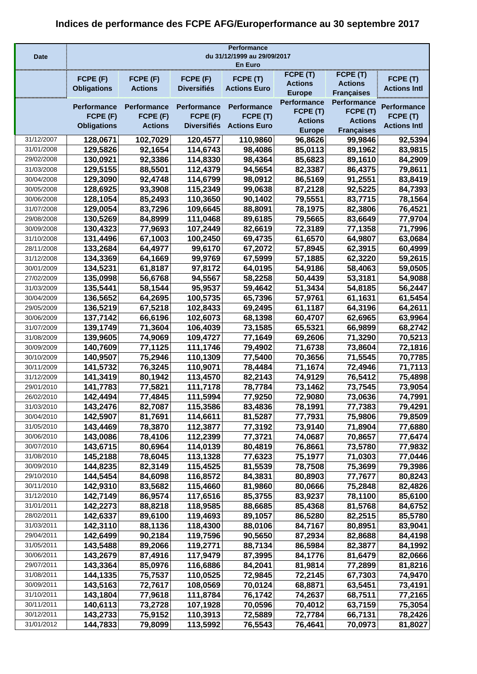| <b>Date</b>              | Performance<br>du 31/12/1999 au 29/09/2017<br>En Euro |                                |                                |                         |                    |                    |                                |  |
|--------------------------|-------------------------------------------------------|--------------------------------|--------------------------------|-------------------------|--------------------|--------------------|--------------------------------|--|
|                          |                                                       |                                |                                |                         | FCPE (T)           | FCPE (T)           |                                |  |
|                          | FCPE (F)                                              | FCPE (F)                       | FCPE (F)                       | FCPE (T)                | <b>Actions</b>     | <b>Actions</b>     | FCPE (T)                       |  |
|                          | <b>Obligations</b>                                    | <b>Actions</b>                 | <b>Diversifiés</b>             | <b>Actions Euro</b>     | <b>Europe</b>      | <b>Françaises</b>  | <b>Actions Intl</b>            |  |
|                          |                                                       |                                |                                |                         | <b>Performance</b> | Performance        |                                |  |
|                          | <b>Performance</b><br>FCPE (F)                        | <b>Performance</b><br>FCPE (F) | <b>Performance</b><br>FCPE (F) | Performance<br>FCPE (T) | FCPE (T)           | FCPE (T)           | <b>Performance</b><br>FCPE (T) |  |
|                          | <b>Obligations</b>                                    | <b>Actions</b>                 | <b>Diversifiés</b>             | <b>Actions Euro</b>     | <b>Actions</b>     | <b>Actions</b>     | <b>Actions Intl</b>            |  |
|                          |                                                       |                                |                                |                         | <b>Europe</b>      | <b>Françaises</b>  |                                |  |
| 31/12/2007               | 128,0671                                              | 102,7029                       | 120,4577                       | 110,9860                | 96,8626            | 99,9846            | 92,5394                        |  |
| 31/01/2008               | 129,5826                                              | 92,1654                        | 114,6743                       | 98,4086                 | 85,0113            | 89,1962            | 83,9815                        |  |
| 29/02/2008               | 130,0921                                              | 92,3386                        | 114,8330                       | 98,4364                 | 85,6823            | 89,1610            | 84,2909                        |  |
| 31/03/2008               | 129,5155                                              | 88,5501                        | 112,4379                       | 94,5654                 | 82,3387            | 86,4375            | 79,8611                        |  |
| 30/04/2008               | 129,3090                                              | 92,4748                        | 114,6799                       | 98,0912                 | 86,5169            | 91,2551            | 83,8419                        |  |
| 30/05/2008               | 128,6925                                              | 93,3908                        | 115,2349                       | 99,0638                 | 87,2128            | 92,5225            | 84,7393                        |  |
| 30/06/2008               | 128,1054                                              | 85,2493                        | 110,3650                       | 90,1402                 | 79,5551            | 83,7715            | 78,1564                        |  |
| 31/07/2008               | 129,0054                                              | 83,7296                        | 109,6645                       | 88,8091                 | 78,1975            | 82,3806            | 76,4521                        |  |
| 29/08/2008               | 130,5269                                              | 84,8999                        | 111,0468                       | 89,6185                 | 79,5665            | 83,6649            | 77,9704                        |  |
| 30/09/2008               | 130,4323                                              | 77,9693                        | 107,2449                       | 82,6619                 | 72,3189            | 77,1358            | 71,7996                        |  |
| 31/10/2008               | 131,4496                                              | 67,1003                        | 100,2450                       | 69,4735                 | 61,6570            | 64,9807            | 63,0684                        |  |
| 28/11/2008               | 133,2684                                              | 64,4977                        | 99,6170                        | 67,2072                 | 57,8945            | 62,3915            | 60,4999                        |  |
| 31/12/2008               | 134,3369                                              | 64,1669                        | 99,9769                        | 67,5999                 | 57,1885            | 62,3220            | 59,2615                        |  |
| 30/01/2009               | 134,5231                                              | 61,8187                        | 97,8172                        | 64,0195                 | 54,9186            | 58,4063            | 59,0505                        |  |
| 27/02/2009               | 135,0998                                              | 56,6768                        | 94,5567                        | 58,2258                 | 50,4439            | 53,3181            | 54,9088                        |  |
| 31/03/2009               | 135,5441                                              | 58,1544                        | 95,9537                        | 59,4642                 | 51,3434            | 54,8185            | 56,2447                        |  |
| 30/04/2009               | 136,5652                                              | 64,2695                        | 100,5735                       | 65,7396                 | 57,9761            | 61,1631            | 61,5454                        |  |
| 29/05/2009               | 136,5219                                              | 67,5218                        | 102,8433                       | 69,2495                 | 61,1187            | 64,3196            | 64,2611                        |  |
| 30/06/2009               | 137,7142                                              | 66,6196                        | 102,6073                       | 68,1398                 | 60,4707            | 62,6965            | 63,9964                        |  |
| 31/07/2009<br>31/08/2009 | 139,1749                                              | 71,3604                        | 106,4039                       | 73,1585                 | 65,5321            | 66,9899            | 68,2742                        |  |
| 30/09/2009               | 139,9605<br>140,7609                                  | 74,9069<br>77,1125             | 109,4727<br>111,1746           | 77,1649<br>79,4902      | 69,2606<br>71,6738 | 71,3290<br>73,8604 | 70,5213<br>72,1816             |  |
| 30/10/2009               | 140,9507                                              | 75,2946                        | 110,1309                       | 77,5400                 | 70,3656            | 71,5545            | 70,7785                        |  |
| 30/11/2009               | 141,5732                                              | 76,3245                        | 110,9071                       | 78,4484                 | 71,1674            | 72,4946            | 71,7113                        |  |
| 31/12/2009               | 141,3419                                              | 80,1942                        | 113,4570                       | 82,2143                 | 74,9129            | 76,5412            | 75,4898                        |  |
| 29/01/2010               | 141,7783                                              | 77,5821                        | 111,7178                       | 78,7784                 | 73,1462            | 73,7545            | 73,9054                        |  |
| 26/02/2010               | 142,4494                                              | 77,4845                        | 111,5994                       | 77,9250                 | 72,9080            | 73,0636            | 74,7991                        |  |
| 31/03/2010               | 143,2476                                              | 82,7087                        | 115,3586                       | 83,4836                 | 78,1991            | 77,7383            | 79,4291                        |  |
| 30/04/2010               | 142,5907                                              | 81,7691                        | 114,6611                       | 81,5287                 | 77,7931            | 75,9806            | 79,8509                        |  |
| 31/05/2010               | 143,4469                                              | 78,3870                        | 112,3877                       | 77,3192                 | 73,9140            | 71,8904            | 77,6880                        |  |
| 30/06/2010               | 143,0086                                              | 78,4106                        | 112,2399                       | 77,3721                 | 74,0687            | 70,8657            | 77,6474                        |  |
| 30/07/2010               | 143,6715                                              | 80,6964                        | 114,0139                       | 80,4819                 | 76,8661            | 73,5780            | 77,9832                        |  |
| 31/08/2010               | 145,2188                                              | 78,6045                        | 113,1328                       | 77,6323                 | 75,1977            | 71,0303            | 77,0446                        |  |
| 30/09/2010               | 144,8235                                              | 82,3149                        | 115,4525                       | 81,5539                 | 78,7508            | 75,3699            | 79,3986                        |  |
| 29/10/2010               | 144,5454                                              | 84,6098                        | 116,8572                       | 84,3831                 | 80,8903            | 77,7677            | 80,8243                        |  |
| 30/11/2010               | 142,9310                                              | 83,5682                        | 115,4660                       | 81,9860                 | 80,0666            | 75,2848            | 82,4826                        |  |
| 31/12/2010               | 142,7149                                              | 86,9574                        | 117,6516                       | 85,3755                 | 83,9237            | 78,1100            | 85,6100                        |  |
| 31/01/2011               | 142,2273                                              | 88,8218                        | 118,9585                       | 88,6685                 | 85,4368            | 81,5768            | 84,6752                        |  |
| 28/02/2011               | 142,6337                                              | 89,6100                        | 119,4693                       | 89,1057                 | 86,5280            | 82,2515            | 85,5780                        |  |
| 31/03/2011               | 142,3110                                              | 88,1136                        | 118,4300                       | 88,0106                 | 84,7167            | 80,8951            | 83,9041                        |  |
| 29/04/2011               | 142,6499                                              | 90,2184                        | 119,7596                       | 90,5650                 | 87,2934            | 82,8688            | 84,4198                        |  |
| 31/05/2011               | 143,5488                                              | 89,2066                        | 119,2771                       | 88,7134                 | 86,5984            | 82,3877            | 84,1992                        |  |
| 30/06/2011               | 143,2679                                              | 87,4916                        | 117,9479                       | 87,3995                 | 84,1776            | 81,6479            | 82,0666                        |  |
| 29/07/2011               | 143,3364                                              | 85,0976                        | 116,6886                       | 84,2041                 | 81,9814            | 77,2899            | 81,8216                        |  |
| 31/08/2011               | 144,1335                                              | 75,7537                        | 110,0525                       | 72,9845                 | 72,2145            | 67,7303            | 74,9470                        |  |
| 30/09/2011               | 143,5163                                              | 72,7617                        | 108,0569                       | 70,0124                 | 68,8871            | 63,5451            | 73,4191                        |  |
| 31/10/2011               | 143,1804                                              | 77,9618                        | 111,8784                       | 76,1742                 | 74,2637            | 68,7511            | 77,2165                        |  |
| 30/11/2011               | 140,6113                                              | 73,2728                        | 107,1928                       | 70,0596                 | 70,4012            | 63,7159            | 75,3054                        |  |
| 30/12/2011               | 143,2733                                              | 75,9152                        | 110,3913                       | 72,5889                 | 72,7784            | 66,7131            | 78,2426                        |  |
| 31/01/2012               | 144,7833                                              | 79,8099                        | 113,5992                       | 76,5543                 | 76,4641            | 70,0973            | 81,8027                        |  |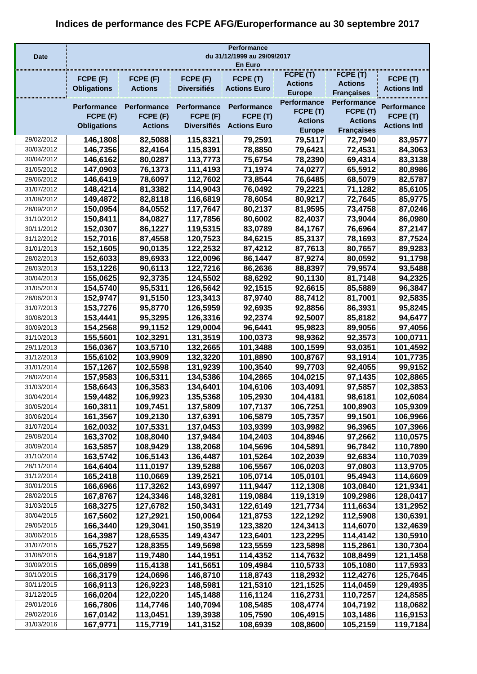|                          | <b>Performance</b>          |                      |                      |                      |                                 |                            |                      |  |
|--------------------------|-----------------------------|----------------------|----------------------|----------------------|---------------------------------|----------------------------|----------------------|--|
| <b>Date</b>              | du 31/12/1999 au 29/09/2017 |                      |                      |                      |                                 |                            |                      |  |
|                          |                             |                      |                      | En Euro              |                                 |                            |                      |  |
|                          | FCPE (F)                    | FCPE (F)             | FCPE (F)             | FCPE (T)             | FCPE (T)                        | FCPE (T)<br><b>Actions</b> | FCPE (T)             |  |
|                          | <b>Obligations</b>          | <b>Actions</b>       | <b>Diversifiés</b>   | <b>Actions Euro</b>  | <b>Actions</b><br><b>Europe</b> | <b>Françaises</b>          | <b>Actions Intl</b>  |  |
|                          |                             |                      |                      |                      | Performance                     | Performance                |                      |  |
|                          | <b>Performance</b>          | <b>Performance</b>   | <b>Performance</b>   | <b>Performance</b>   | FCPE (T)                        | FCPE (T)                   | <b>Performance</b>   |  |
|                          | FCPE (F)                    | FCPE (F)             | FCPE (F)             | FCPE (T)             | <b>Actions</b>                  | <b>Actions</b>             | FCPE (T)             |  |
|                          | <b>Obligations</b>          | <b>Actions</b>       | <b>Diversifiés</b>   | <b>Actions Euro</b>  | <b>Europe</b>                   | <b>Françaises</b>          | <b>Actions Intl</b>  |  |
| 29/02/2012               | 146,1808                    | 82,5088              | 115,8321             | 79,2591              | 79,5117                         | 72,7940                    | 83,9577              |  |
| 30/03/2012               | 146,7356                    | 82,4164              | 115,8391             | 78,8850              | 79,6421                         | 72,4531                    | 84,3063              |  |
| 30/04/2012               | 146,6162                    | 80,0287              | 113,7773             | 75,6754              | 78,2390                         | 69,4314                    | 83,3138              |  |
| 31/05/2012               | 147,0903                    | 76,1373              | 111,4193             | 71,1974              | 74,0277                         | 65,5912                    | 80,8986              |  |
| 29/06/2012               | 146,6419                    | 78,6097              | 112,7602             | 73,8544              | 76,6485                         | 68,5079                    | 82,5787              |  |
| 31/07/2012               | 148,4214                    | 81,3382              | 114,9043             | 76,0492              | 79,2221                         | 71,1282                    | 85,6105              |  |
| 31/08/2012               | 149,4872                    | 82,8118              | 116,6819             | 78,6054              | 80,9217                         | 72,7645                    | 85,9775              |  |
| 28/09/2012               | 150,0954                    | 84,0552              | 117,7647             | 80,2137              | 81,9595                         | 73,4758                    | 87,0246              |  |
| 31/10/2012               | 150,8411                    | 84,0827              | 117,7856             | 80,6002              | 82,4037                         | 73,9044                    | 86,0980              |  |
| 30/11/2012               | 152,0307                    | 86,1227              | 119,5315             | 83,0789              | 84,1767                         | 76,6964                    | 87,2147              |  |
| 31/12/2012               | 152,7016                    | 87,4558              | 120,7523             | 84,6215              | 85,3137                         | 78,1693                    | 87,7524              |  |
| 31/01/2013               | 152,1605                    | 90,0135              | 122,2532             | 87,4212              | 87,7613                         | 80,7657                    | 89,9283              |  |
| 28/02/2013               | 152,6033                    | 89,6933              | 122,0096             | 86,1447              | 87,9274                         | 80,0592                    | 91,1798              |  |
| 28/03/2013               | 153,1226                    | 90,6113              | 122,7216             | 86,2636              | 88,8397                         | 79,9574                    | 93,5488              |  |
| 30/04/2013               | 155,0625                    | 92,3735              | 124,5502             | 88,6292              | 90,1130                         | 81,7148                    | 94,2325              |  |
| 31/05/2013               | 154,5740                    | 95,5311              | 126,5642             | 92,1515              | 92,6615                         | 85,5889                    | 96,3847              |  |
| 28/06/2013               | 152,9747                    | 91,5150              | 123,3413             | 87,9740              | 88,7412                         | 81,7001                    | 92,5835              |  |
| 31/07/2013               | 153,7276                    | 95,8770              | 126,5959             | 92,6935              | 92,8856                         | 86,3931                    | 95,8245              |  |
| 30/08/2013               | 153,4441                    | 95,3295              | 126,3316             | 92,2374              | 92,5007                         | 85,8182                    | 94,6477              |  |
| 30/09/2013               | 154,2568                    | 99,1152              | 129,0004             | 96,6441              | 95,9823                         | 89,9056                    | 97,4056              |  |
| 31/10/2013               | 155,5601                    | 102,3291             | 131,3519             | 100,0373             | 98,9362                         | 92,3573                    | 100,0711             |  |
| 29/11/2013               | 156,0367                    | 103,5710             | 132,2665             | 101,3488             | 100,1599                        | 93,0351                    | 101,4592             |  |
| 31/12/2013               | 155,6102                    | 103,9909             | 132,3220             | 101,8890             | 100,8767                        | 93,1914                    | 101,7735             |  |
| 31/01/2014               | 157,1267                    | 102,5598             | 131,9239             | 100,3540             | 99,7703                         | 92,4055                    | 99,9152              |  |
| 28/02/2014               | 157,9583                    | 106,5311             | 134,5386             | 104,2865             | 104,0215                        | 97,1435                    | 102,8865             |  |
| 31/03/2014               | 158,6643                    | 106,3583             | 134,6401             | 104,6106             | 103,4091                        | 97,5857                    | 102,3853             |  |
| 30/04/2014               | 159,4482                    | 106,9923             | 135,5368             | 105,2930             | 104,4181                        | 98,6181                    | 102,6084             |  |
| 30/05/2014               | 160,3811                    | 109,7451             | 137,5809             | 107,7137             | 106,7251                        | 100,8903                   | 105,9309             |  |
| 30/06/2014               | 161,3567                    | 109,2130             | 137,6391             | 106,5879             | 105,7357                        | 99,1501                    | 106,9966             |  |
| 31/07/2014               | 162,0032                    | 107,5331             | 137,0453             | 103,9399             | 103,9982                        | 96,3965                    | 107,3966             |  |
| 29/08/2014<br>30/09/2014 | 163,3702                    | 108,8040<br>108,9429 | 137,9484<br>138,2068 | 104,2403             | 104,8946<br>104,5891            | 97,2662<br>96,7842         | 110,0575<br>110,7890 |  |
| 31/10/2014               | 163,5857<br>163,5742        | 106,5143             | 136,4487             | 104,5696<br>101,5264 | 102,2039                        | 92,6834                    | 110,7039             |  |
| 28/11/2014               | 164,6404                    | 111,0197             | 139,5288             | 106,5567             | 106,0203                        | 97,0803                    | 113,9705             |  |
| 31/12/2014               | 165,2418                    | 110,0669             | 139,2521             | 105,0714             | 105,0101                        | 95,4943                    | 114,6609             |  |
| 30/01/2015               | 166,6966                    | 117,3262             | 143,6997             | 111,9447             | 112,1308                        | 103,0840                   | 121,9341             |  |
| 28/02/2015               | 167,8767                    | 124,3346             | 148,3281             | 119,0884             | 119,1319                        | 109,2986                   | 128,0417             |  |
| 31/03/2015               | 168,3275                    | 127,6782             | 150,3431             | 122,6149             | 121,7734                        | 111,6634                   | 131,2952             |  |
| 30/04/2015               | 167,5602                    | 127,2921             | 150,0064             | 121,8753             | 122,1292                        | 112,5908                   | 130,6391             |  |
| 29/05/2015               | 166,3440                    | 129,3041             | 150,3519             | 123,3820             | 124,3413                        | 114,6070                   | 132,4639             |  |
| 30/06/2015               | 164,3987                    | 128,6535             | 149,4347             | 123,6401             | 123,2295                        | 114,4142                   | 130,5910             |  |
| 31/07/2015               | 165,7527                    | 128,8355             | 149,5698             | 123,5559             | 123,5898                        | 115,2861                   | 130,7304             |  |
| 31/08/2015               | 164,9187                    | 119,7480             | 144,1951             | 114,4352             | 114,7632                        | 108,8499                   | 121,1458             |  |
| 30/09/2015               | 165,0899                    | 115,4138             | 141,5651             | 109,4984             | 110,5733                        | 105,1080                   | 117,5933             |  |
| 30/10/2015               | 166,3179                    | 124,0696             | 146,8710             | 118,8743             | 118,2932                        | 112,4276                   | 125,7645             |  |
| 30/11/2015               | 166,9113                    | 126,9223             | 148,5981             | 121,5310             | 121,1525                        | 114,0459                   | 129,4935             |  |
| 31/12/2015               | 166,0204                    | 122,0220             | 145,1488             | 116,1124             | 116,2731                        | 110,7257                   | 124,8585             |  |
| 29/01/2016               | 166,7806                    | 114,7746             | 140,7094             | 108,5485             | 108,4774                        | 104,7192                   | 118,0682             |  |
| 29/02/2016               | 167,0142                    | 113,0451             | 139,3938             | 105,7590             | 106,4915                        | 103,1486                   | 116,9153             |  |
| 31/03/2016               | 167,9771                    | 115,7719             | 141,3152             | 108,6939             | 108,8600                        | 105,2159                   | 119,7184             |  |